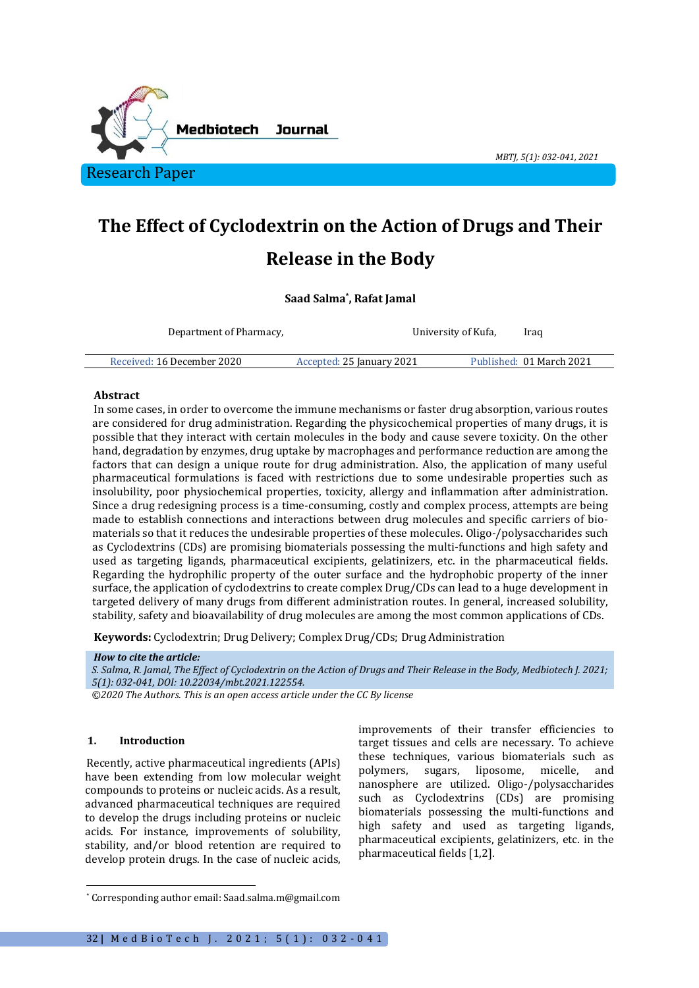

# **The Effect of Cyclodextrin on the Action of Drugs and Their Release in the Body**

# **Saad Salma\* , Rafat Jamal**

Department of Pharmacy, Faculty of Medical Sciences, University of Kufa, Kufa, Iraq

Received: 16 December 2020 Accepted: 25 January 2021 Published: 01 March 2021

#### **Abstract**

In some cases, in order to overcome the immune mechanisms or faster drug absorption, various routes are considered for drug administration. Regarding the physicochemical properties of many drugs, it is possible that they interact with certain molecules in the body and cause severe toxicity. On the other hand, degradation by enzymes, drug uptake by macrophages and performance reduction are among the factors that can design a unique route for drug administration. Also, the application of many useful pharmaceutical formulations is faced with restrictions due to some undesirable properties such as insolubility, poor physiochemical properties, toxicity, allergy and inflammation after administration. Since a drug redesigning process is a time-consuming, costly and complex process, attempts are being made to establish connections and interactions between drug molecules and specific carriers of biomaterials so that it reduces the undesirable properties of these molecules. Oligo-/polysaccharides such as Cyclodextrins (CDs) are promising biomaterials possessing the multi-functions and high safety and used as targeting ligands, pharmaceutical excipients, gelatinizers, etc. in the pharmaceutical fields. Regarding the hydrophilic property of the outer surface and the hydrophobic property of the inner surface, the application of cyclodextrins to create complex Drug/CDs can lead to a huge development in targeted delivery of many drugs from different administration routes. In general, increased solubility, stability, safety and bioavailability of drug molecules are among the most common applications of CDs.

**Keywords:** Cyclodextrin; Drug Delivery; Complex Drug/CDs; Drug Administration

#### *How to cite the article:*

*S. Salma, R. Jamal, The Effect of Cyclodextrin on the Action of Drugs and Their Release in the Body, Medbiotech J. 2021; 5(1): 032-041, DOI: 10.22034/mbt.2021.122554.*

*©2020 The Authors. This is an open access article under the CC By license*

# **1. Introduction**

Recently, active pharmaceutical ingredients (APIs) have been extending from low molecular weight compounds to proteins or nucleic acids. As a result, advanced pharmaceutical techniques are required to develop the drugs including proteins or nucleic acids. For instance, improvements of solubility, stability, and/or blood retention are required to develop protein drugs. In the case of nucleic acids,

improvements of their transfer efficiencies to target tissues and cells are necessary. To achieve these techniques, various biomaterials such as polymers, sugars, liposome, micelle, and nanosphere are utilized. Oligo-/polysaccharides such as Cyclodextrins (CDs) are promising biomaterials possessing the multi-functions and high safety and used as targeting ligands, pharmaceutical excipients, gelatinizers, etc. in the pharmaceutical fields [1,2].

*MBTJ, 5(1): 032-041, 2021*

<sup>\*</sup> Corresponding author email: Saad.salma.m@gmail.com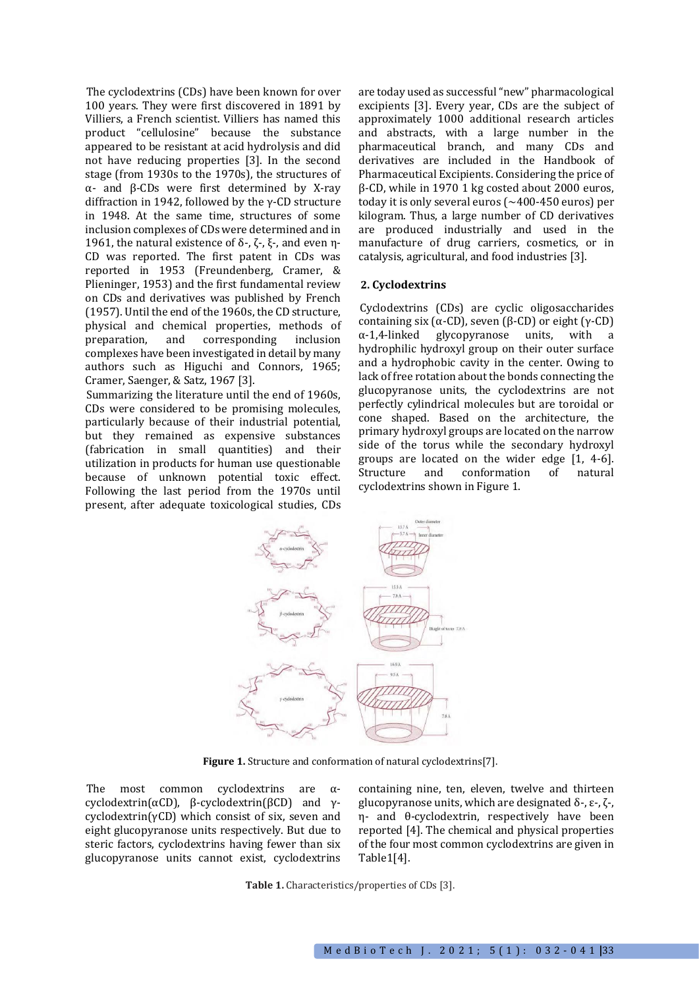The cyclodextrins (CDs) have been known for over 100 years. They were first discovered in 1891 by Villiers, a French scientist. Villiers has named this product "cellulosine" because the substance appeared to be resistant at acid hydrolysis and did not have reducing properties [3]. In the second stage (from 1930s to the 1970s), the structures of α- and β-CDs were first determined by X-ray diffraction in 1942, followed by the γ-CD structure in 1948. At the same time, structures of some inclusion complexes of CDs were determined and in 1961, the natural existence of δ-, ζ-, ξ-, and even η-CD was reported. The first patent in CDs was reported in 1953 (Freundenberg, Cramer, & Plieninger, 1953) and the first fundamental review on CDs and derivatives was published by French (1957). Until the end of the 1960s, the CD structure, physical and chemical properties, methods of preparation, and corresponding inclusion complexes have been investigated in detail by many authors such as Higuchi and Connors, 1965; Cramer, Saenger, & Satz, 1967 [3].

Summarizing the literature until the end of 1960s, CDs were considered to be promising molecules, particularly because of their industrial potential, but they remained as expensive substances (fabrication in small quantities) and their utilization in products for human use questionable because of unknown potential toxic effect. Following the last period from the 1970s until present, after adequate toxicological studies, CDs are today used as successful "new" pharmacological excipients [3]. Every year, CDs are the subject of approximately 1000 additional research articles and abstracts, with a large number in the pharmaceutical branch, and many CDs and derivatives are included in the Handbook of Pharmaceutical Excipients. Considering the price of β-CD, while in 1970 1 kg costed about 2000 euros, today it is only several euros (∼400-450 euros) per kilogram. Thus, a large number of CD derivatives are produced industrially and used in the manufacture of drug carriers, cosmetics, or in catalysis, agricultural, and food industries [3].

# **2. Cyclodextrins**

Cyclodextrins (CDs) are cyclic oligosaccharides containing six (α-CD), seven (β-CD) or eight (γ-CD) α-1,4-linked glycopyranose units, with a hydrophilic hydroxyl group on their outer surface and a hydrophobic cavity in the center. Owing to lack of free rotation about the bonds connecting the glucopyranose units, the cyclodextrins are not perfectly cylindrical molecules but are toroidal or cone shaped. Based on the architecture, the primary hydroxyl groups are located on the narrow side of the torus while the secondary hydroxyl groups are located on the wider edge [1, 4-6]. Structure and conformation of natural cyclodextrins shown in Figure 1.



Figure 1. Structure and conformation of natural cyclodextrins<sup>[7]</sup>.

The most common cyclodextrins are αcyclodextrin(αCD), β-cyclodextrin(βCD) and γcyclodextrin(γCD) which consist of six, seven and eight glucopyranose units respectively. But due to steric factors, cyclodextrins having fewer than six glucopyranose units cannot exist, cyclodextrins containing nine, ten, eleven, twelve and thirteen glucopyranose units, which are designated δ-, ε-, ζ-, η- and θ-cyclodextrin, respectively have been reported [4]. The chemical and physical properties of the four most common cyclodextrins are given in Table1[4].

**Table 1.** Characteristics/properties of CDs [3].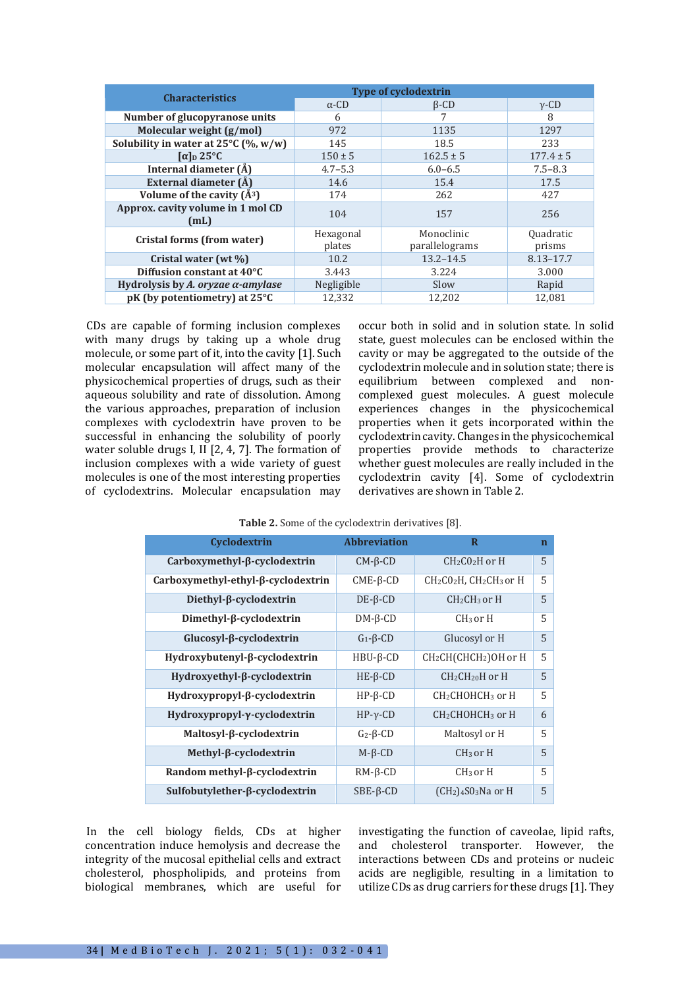| <b>Characteristics</b>                         | <b>Type of cyclodextrin</b> |                |                  |
|------------------------------------------------|-----------------------------|----------------|------------------|
|                                                | $\alpha$ -CD                | $\beta$ -CD    | $v$ -CD          |
| Number of glucopyranose units                  | 6                           |                | 8                |
| Molecular weight (g/mol)                       | 972                         | 1135           | 1297             |
| Solubility in water at $25^{\circ}$ C (%, w/w) | 145                         | 18.5           | 233              |
| $\lceil \alpha \rceil$ 25°C                    | $150 \pm 5$                 | $162.5 \pm 5$  | $177.4 \pm 5$    |
| Internal diameter (Å)                          | $4.7 - 5.3$                 | $6.0 - 6.5$    | $7.5 - 8.3$      |
| External diameter (Å)                          | 14.6                        | 15.4           | 17.5             |
| Volume of the cavity $(A^3)$                   | 174                         | 262            | 427              |
| Approx. cavity volume in 1 mol CD<br>(mL)      | 104                         | 157            | 256              |
| Cristal forms (from water)                     | Hexagonal                   | Monoclinic     | <b>Quadratic</b> |
|                                                | plates                      | parallelograms | prisms           |
| Cristal water (wt %)                           | 10.2                        | $13.2 - 14.5$  | $8.13 - 17.7$    |
| Diffusion constant at 40°C                     | 3.443                       | 3.224          | 3.000            |
| Hydrolysis by A. oryzae $\alpha$ -amylase      | Negligible                  | Slow           | Rapid            |
| pK (by potentiometry) at 25°C                  | 12,332                      | 12,202         | 12,081           |

CDs are capable of forming inclusion complexes with many drugs by taking up a whole drug molecule, or some part of it, into the cavity [1]. Such molecular encapsulation will affect many of the physicochemical properties of drugs, such as their aqueous solubility and rate of dissolution. Among the various approaches, preparation of inclusion complexes with cyclodextrin have proven to be successful in enhancing the solubility of poorly water soluble drugs I, II [2, 4, 7]. The formation of inclusion complexes with a wide variety of guest molecules is one of the most interesting properties of cyclodextrins. Molecular encapsulation may occur both in solid and in solution state. In solid state, guest molecules can be enclosed within the cavity or may be aggregated to the outside of the cyclodextrin molecule and in solution state; there is equilibrium between complexed and noncomplexed guest molecules. A guest molecule experiences changes in the physicochemical properties when it gets incorporated within the cyclodextrin cavity. Changes in the physicochemical properties provide methods to characterize whether guest molecules are really included in the cyclodextrin cavity [4]. Some of cyclodextrin derivatives are shown in Table 2.

| Cyclodextrin                              | <b>Abbreviation</b> | R                                                  | $\mathbf n$ |
|-------------------------------------------|---------------------|----------------------------------------------------|-------------|
| Carboxymethyl-β-cyclodextrin              | $CM-6-CD$           | CH <sub>2</sub> C <sub>0</sub> <sub>2</sub> H or H | 5           |
| $Carboxy methyl-ethyl-\beta-cyclodextrin$ | $CME-B-CD$          | $CH2CO2H$ , $CH2CH3$ or H                          | 5           |
| $Diethyl-\beta-cyclodextrin$              | $DE-\beta-CD$       | $CH2CH3$ or H                                      | 5           |
| $Dimethyl-\beta-cyclodextrin$             | $DM-6-CD$           | $CH3$ or $H3$                                      | 5           |
| $Glucosyl-\beta-cyclodextrin$             | $G_1 - \beta - CD$  | Glucosyl or H                                      | 5           |
| $Hydroxybutenyl-\beta-cyclodextrin$       | $HBU - \beta - CD$  | CH <sub>2</sub> CH(CHCH <sub>2</sub> )OH or H      | 5           |
| $Hydroxyethyl-\beta-cyclodextrin$         | $HE-β-CD$           | CH <sub>2</sub> CH <sub>20</sub> H or H            | 5           |
| $Hydroxypropyl-\beta-cyclodextrin$        | $HP-B-CD$           | CH <sub>2</sub> CHOHCH <sub>3</sub> or H           | 5           |
| $Hydroxypropyl-y-cyclodextrin$            | $HP-\gamma$ -CD     | CH <sub>2</sub> CHOHCH <sub>3</sub> or H           | 6           |
| Maltosyl-β-cyclodextrin                   | $G_2 - \beta - CD$  | Maltosyl or H                                      | 5           |
| Methyl-β-cyclodextrin                     | $M-\beta$ -CD       | $CH3$ or H                                         | 5           |
| Random methyl-β-cyclodextrin              | $RM - \beta$ -CD    | $CH3$ or H                                         | 5           |
| Sulfobutylether-β-cyclodextrin            | $SBE-\beta-CD$      | $(CH2)4S03Na$ or H                                 | 5           |

**Table 2.** Some of the cyclodextrin derivatives [8].

In the cell biology fields, CDs at higher concentration induce hemolysis and decrease the integrity of the mucosal epithelial cells and extract cholesterol, phospholipids, and proteins from biological membranes, which are useful for

investigating the function of caveolae, lipid rafts, and cholesterol transporter. However, the interactions between CDs and proteins or nucleic acids are negligible, resulting in a limitation to utilize CDs as drug carriers for these drugs [1]. They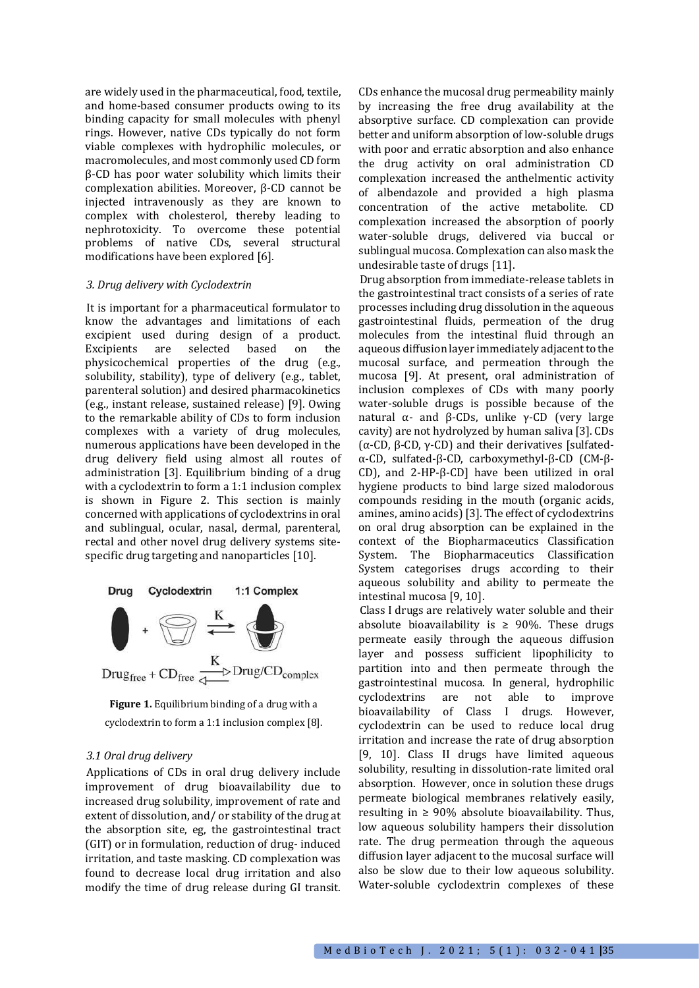are widely used in the pharmaceutical, food, textile, and home-based consumer products owing to its binding capacity for small molecules with phenyl rings. However, native CDs typically do not form viable complexes with hydrophilic molecules, or macromolecules, and most commonly used CD form β-CD has poor water solubility which limits their complexation abilities. Moreover, β-CD cannot be injected intravenously as they are known to complex with cholesterol, thereby leading to nephrotoxicity. To overcome these potential problems of native CDs, several structural modifications have been explored [6].

# *3. Drug delivery with Cyclodextrin*

It is important for a pharmaceutical formulator to know the advantages and limitations of each excipient used during design of a product. Excipients are selected based on the physicochemical properties of the drug (e.g., solubility, stability), type of delivery (e.g., tablet, parenteral solution) and desired pharmacokinetics (e.g., instant release, sustained release) [9]. Owing to the remarkable ability of CDs to form inclusion complexes with a variety of drug molecules, numerous applications have been developed in the drug delivery field using almost all routes of administration [3]. Equilibrium binding of a drug with a cyclodextrin to form a 1:1 inclusion complex is shown in Figure 2. This section is mainly concerned with applications of cyclodextrins in oral and sublingual, ocular, nasal, dermal, parenteral, rectal and other novel drug delivery systems sitespecific drug targeting and nanoparticles [10].



**Figure 1.** Equilibrium binding of a drug with a cyclodextrin to form a 1:1 inclusion complex [8].

#### *3.1 Oral drug delivery*

Applications of CDs in oral drug delivery include improvement of drug bioavailability due to increased drug solubility, improvement of rate and extent of dissolution, and/ or stability of the drug at the absorption site, eg, the gastrointestinal tract (GIT) or in formulation, reduction of drug- induced irritation, and taste masking. CD complexation was found to decrease local drug irritation and also modify the time of drug release during GI transit. CDs enhance the mucosal drug permeability mainly by increasing the free drug availability at the absorptive surface. CD complexation can provide better and uniform absorption of low-soluble drugs with poor and erratic absorption and also enhance the drug activity on oral administration CD complexation increased the anthelmentic activity of albendazole and provided a high plasma concentration of the active metabolite. CD complexation increased the absorption of poorly water-soluble drugs, delivered via buccal or sublingual mucosa. Complexation can also mask the undesirable taste of drugs [11].

Drug absorption from immediate-release tablets in the gastrointestinal tract consists of a series of rate processes including drug dissolution in the aqueous gastrointestinal fluids, permeation of the drug molecules from the intestinal fluid through an aqueous diffusion layer immediately adjacent to the mucosal surface, and permeation through the mucosa [9]. At present, oral administration of inclusion complexes of CDs with many poorly water-soluble drugs is possible because of the natural  $\alpha$ - and β-CDs, unlike γ-CD (very large cavity) are not hydrolyzed by human saliva [3]. CDs (α-CD, β-CD, γ-CD) and their derivatives [sulfatedα-CD, sulfated-β-CD, carboxymethyl-β-CD (CM-β-CD), and 2-HP-β-CD] have been utilized in oral hygiene products to bind large sized malodorous compounds residing in the mouth (organic acids, amines, amino acids)[3]. The effect of cyclodextrins on oral drug absorption can be explained in the context of the Biopharmaceutics Classification System. The Biopharmaceutics Classification System categorises drugs according to their aqueous solubility and ability to permeate the intestinal mucosa [9, 10].

Class I drugs are relatively water soluble and their absolute bioavailability is  $\geq$  90%. These drugs permeate easily through the aqueous diffusion layer and possess sufficient lipophilicity to partition into and then permeate through the gastrointestinal mucosa. In general, hydrophilic cyclodextrins are not able to improve bioavailability of Class I drugs. However, cyclodextrin can be used to reduce local drug irritation and increase the rate of drug absorption [9, 10]. Class II drugs have limited aqueous solubility, resulting in dissolution-rate limited oral absorption. However, once in solution these drugs permeate biological membranes relatively easily, resulting in  $\geq 90\%$  absolute bioavailability. Thus, low aqueous solubility hampers their dissolution rate. The drug permeation through the aqueous diffusion layer adjacent to the mucosal surface will also be slow due to their low aqueous solubility. Water-soluble cyclodextrin complexes of these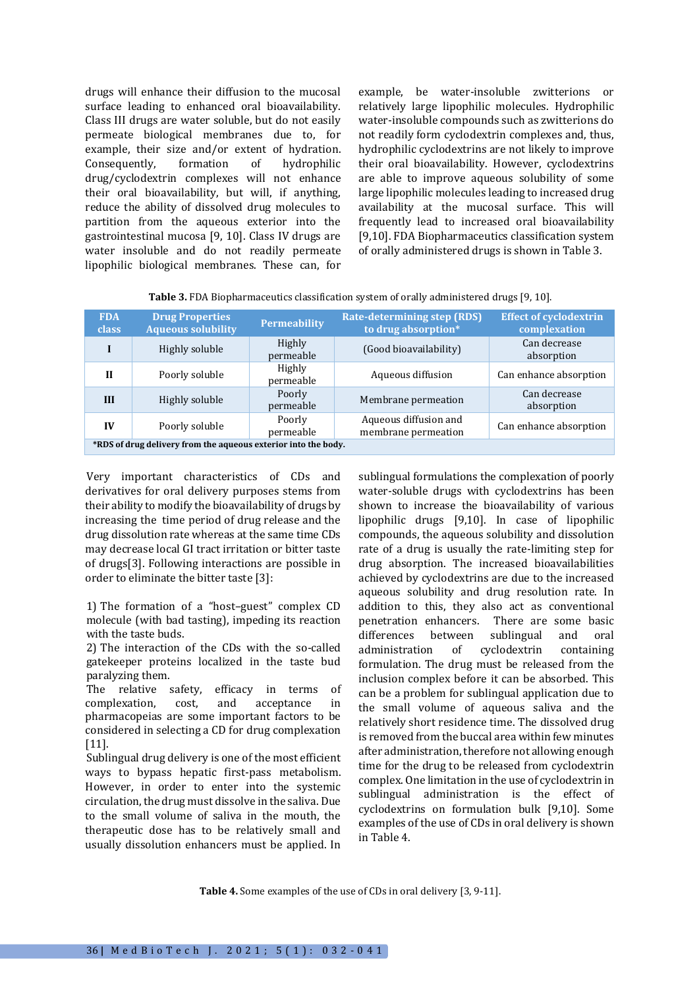drugs will enhance their diffusion to the mucosal surface leading to enhanced oral bioavailability. Class III drugs are water soluble, but do not easily permeate biological membranes due to, for example, their size and/or extent of hydration. Consequently, formation of hydrophilic drug/cyclodextrin complexes will not enhance their oral bioavailability, but will, if anything, reduce the ability of dissolved drug molecules to partition from the aqueous exterior into the gastrointestinal mucosa [9, 10]. Class IV drugs are water insoluble and do not readily permeate lipophilic biological membranes. These can, for example, be water-insoluble zwitterions or relatively large lipophilic molecules. Hydrophilic water-insoluble compounds such as zwitterions do not readily form cyclodextrin complexes and, thus, hydrophilic cyclodextrins are not likely to improve their oral bioavailability. However, cyclodextrins are able to improve aqueous solubility of some large lipophilic molecules leading to increased drug availability at the mucosal surface. This will frequently lead to increased oral bioavailability [9,10]. FDA Biopharmaceutics classification system of orally administered drugs is shown in Table 3.

| <b>Table 3.</b> FDA Biopharmaceutics classification system of orally administered drugs [9, 10]. |  |  |
|--------------------------------------------------------------------------------------------------|--|--|
|--------------------------------------------------------------------------------------------------|--|--|

| <b>FDA</b><br><b>class</b>                                     | <b>Drug Properties</b><br><b>Aqueous solubility</b> | <b>Permeability</b> | <b>Rate-determining step (RDS)</b><br>to drug absorption* | <b>Effect of cyclodextrin</b><br>complexation |
|----------------------------------------------------------------|-----------------------------------------------------|---------------------|-----------------------------------------------------------|-----------------------------------------------|
|                                                                | Highly soluble                                      | Highly<br>permeable | (Good bioavailability)                                    | Can decrease<br>absorption                    |
| $\mathbf{H}$                                                   | Poorly soluble                                      | Highly<br>permeable | Aqueous diffusion                                         | Can enhance absorption                        |
| III                                                            | Highly soluble                                      | Poorly<br>permeable | Membrane permeation                                       | Can decrease<br>absorption                    |
| IV                                                             | Poorly soluble                                      | Poorly<br>permeable | Aqueous diffusion and<br>membrane permeation              | Can enhance absorption                        |
| *RDS of drug delivery from the aqueous exterior into the body. |                                                     |                     |                                                           |                                               |

Very important characteristics of CDs and derivatives for oral delivery purposes stems from their ability to modify the bioavailability of drugs by increasing the time period of drug release and the drug dissolution rate whereas at the same time CDs may decrease local GI tract irritation or bitter taste of drugs[3]. Following interactions are possible in order to eliminate the bitter taste [3]:

1) The formation of a "host–guest" complex CD molecule (with bad tasting), impeding its reaction with the taste buds.

2) The interaction of the CDs with the so-called gatekeeper proteins localized in the taste bud paralyzing them.

The relative safety, efficacy in terms of complexation, cost, and acceptance in pharmacopeias are some important factors to be considered in selecting a CD for drug complexation [11].

Sublingual drug delivery is one of the most efficient ways to bypass hepatic first-pass metabolism. However, in order to enter into the systemic circulation, the drug must dissolve in the saliva. Due to the small volume of saliva in the mouth, the therapeutic dose has to be relatively small and usually dissolution enhancers must be applied. In sublingual formulations the complexation of poorly water-soluble drugs with cyclodextrins has been shown to increase the bioavailability of various lipophilic drugs [9,10]. In case of lipophilic compounds, the aqueous solubility and dissolution rate of a drug is usually the rate-limiting step for drug absorption. The increased bioavailabilities achieved by cyclodextrins are due to the increased aqueous solubility and drug resolution rate. In addition to this, they also act as conventional penetration enhancers. There are some basic differences between sublingual and oral administration of cyclodextrin containing formulation. The drug must be released from the inclusion complex before it can be absorbed. This can be a problem for sublingual application due to the small volume of aqueous saliva and the relatively short residence time. The dissolved drug is removed from the buccal area within few minutes after administration, therefore not allowing enough time for the drug to be released from cyclodextrin complex. One limitation in the use of cyclodextrin in sublingual administration is the effect of cyclodextrins on formulation bulk [9,10]. Some examples of the use of CDs in oral delivery is shown in Table 4.

**Table 4.** Some examples of the use of CDs in oral delivery [3, 9-11].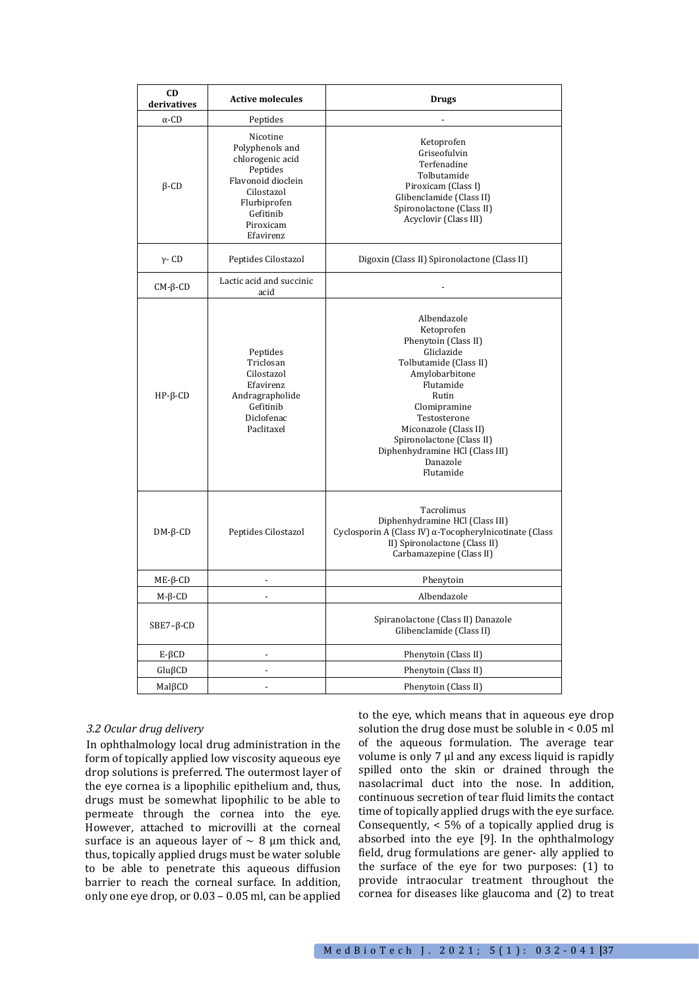| CD<br>derivatives  | <b>Active molecules</b>                                                                                                                                | <b>Drugs</b>                                                                                                                                                                                                                                                                        |
|--------------------|--------------------------------------------------------------------------------------------------------------------------------------------------------|-------------------------------------------------------------------------------------------------------------------------------------------------------------------------------------------------------------------------------------------------------------------------------------|
| $\alpha$ -CD       | Peptides                                                                                                                                               |                                                                                                                                                                                                                                                                                     |
| $\beta$ -CD        | Nicotine<br>Polyphenols and<br>chlorogenic acid<br>Peptides<br>Flavonoid dioclein<br>Cilostazol<br>Flurbiprofen<br>Gefitinib<br>Piroxicam<br>Efavirenz | Ketoprofen<br>Griseofulvin<br>Terfenadine<br>Tolbutamide<br>Piroxicam (Class I)<br>Glibenclamide (Class II)<br>Spironolactone (Class II)<br>Acyclovir (Class III)                                                                                                                   |
| $\gamma$ - CD      | Peptides Cilostazol                                                                                                                                    | Digoxin (Class II) Spironolactone (Class II)                                                                                                                                                                                                                                        |
| $CM$ - $\beta$ -CD | Lactic acid and succinic<br>acid                                                                                                                       |                                                                                                                                                                                                                                                                                     |
| $HP$ - $\beta$ -CD | Peptides<br>Triclosan<br>Cilostazol<br>Efavirenz<br>Andragrapholide<br>Gefitinib<br>Diclofenac<br>Paclitaxel                                           | Albendazole<br>Ketoprofen<br>Phenytoin (Class II)<br>Gliclazide<br>Tolbutamide (Class II)<br>Amylobarbitone<br>Flutamide<br>Rutin<br>Clomipramine<br>Testosterone<br>Miconazole (Class II)<br>Spironolactone (Class II)<br>Diphenhydramine HCl (Class III)<br>Danazole<br>Flutamide |
| $DM-6-CD$          | Peptides Cilostazol                                                                                                                                    | Tacrolimus<br>Diphenhydramine HCl (Class III)<br>Cyclosporin A (Class IV) α-Tocopherylnicotinate (Class<br>II) Spironolactone (Class II)<br>Carbamazepine (Class II)                                                                                                                |
| $ME$ - $\beta$ -CD |                                                                                                                                                        | Phenytoin                                                                                                                                                                                                                                                                           |
| $M-\beta$ -CD      |                                                                                                                                                        | Albendazole                                                                                                                                                                                                                                                                         |
| $SBE7-\beta$ -CD   |                                                                                                                                                        | Spiranolactone (Class II) Danazole<br>Glibenclamide (Class II)                                                                                                                                                                                                                      |
| $E-\beta CD$       |                                                                                                                                                        | Phenytoin (Class II)                                                                                                                                                                                                                                                                |
| $Glu\beta CD$      | $\overline{a}$                                                                                                                                         | Phenytoin (Class II)                                                                                                                                                                                                                                                                |
| MalßCD             | $\overline{a}$                                                                                                                                         | Phenytoin (Class II)                                                                                                                                                                                                                                                                |

# *3.2 Ocular drug delivery*

In ophthalmology local drug administration in the form of topically applied low viscosity aqueous eye drop solutions is preferred. The outermost layer of the eye cornea is a lipophilic epithelium and, thus, drugs must be somewhat lipophilic to be able to permeate through the cornea into the eye. However, attached to microvilli at the corneal surface is an aqueous layer of  $\sim$  8 µm thick and, thus, topically applied drugs must be water soluble to be able to penetrate this aqueous diffusion barrier to reach the corneal surface. In addition, only one eye drop, or 0.03 – 0.05 ml, can be applied

to the eye, which means that in aqueous eye drop solution the drug dose must be soluble in < 0.05 ml of the aqueous formulation. The average tear volume is only 7 µl and any excess liquid is rapidly spilled onto the skin or drained through the nasolacrimal duct into the nose. In addition, continuous secretion of tear fluid limits the contact time of topically applied drugs with the eye surface. Consequently, < 5% of a topically applied drug is absorbed into the eye [9]. In the ophthalmology field, drug formulations are gener- ally applied to the surface of the eye for two purposes: (1) to provide intraocular treatment throughout the cornea for diseases like glaucoma and (2) to treat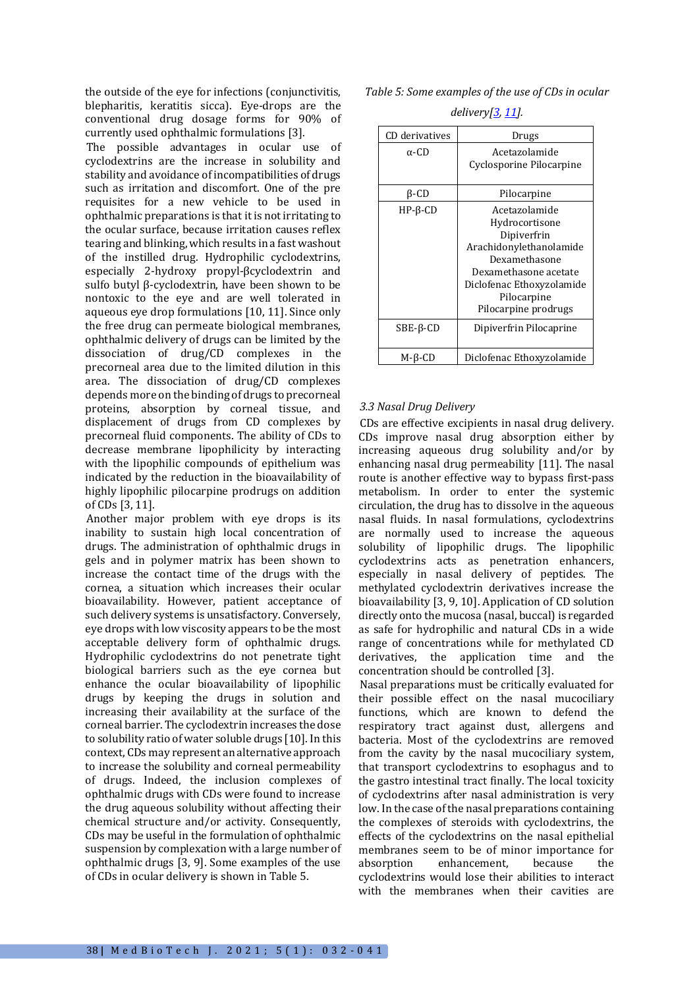the outside of the eye for infections (conjunctivitis, blepharitis, keratitis sicca). Eye-drops are the conventional drug dosage forms for 90% of currently used ophthalmic formulations [3].

The possible advantages in ocular use of cyclodextrins are the increase in solubility and stability and avoidance of incompatibilities of drugs such as irritation and discomfort. One of the pre requisites for a new vehicle to be used in ophthalmic preparations is that it is not irritating to the ocular surface, because irritation causes reflex tearing and blinking, which results in a fast washout of the instilled drug. Hydrophilic cyclodextrins, especially 2-hydroxy propyl-βcyclodextrin and sulfo butyl β-cyclodextrin, have been shown to be nontoxic to the eye and are well tolerated in aqueous eye drop formulations [10, 11]. Since only the free drug can permeate biological membranes, ophthalmic delivery of drugs can be limited by the dissociation of drug/CD complexes in the precorneal area due to the limited dilution in this area. The dissociation of drug/CD complexes depends more on the binding of drugs to precorneal proteins, absorption by corneal tissue, and displacement of drugs from CD complexes by precorneal fluid components. The ability of CDs to decrease membrane lipophilicity by interacting with the lipophilic compounds of epithelium was indicated by the reduction in the bioavailability of highly lipophilic pilocarpine prodrugs on addition of CDs [3, 11].

Another major problem with eye drops is its inability to sustain high local concentration of drugs. The administration of ophthalmic drugs in gels and in polymer matrix has been shown to increase the contact time of the drugs with the cornea, a situation which increases their ocular bioavailability. However, patient acceptance of such delivery systems is unsatisfactory. Conversely, eye drops with low viscosity appears to be the most acceptable delivery form of ophthalmic drugs. Hydrophilic cyclodextrins do not penetrate tight biological barriers such as the eye cornea but enhance the ocular bioavailability of lipophilic drugs by keeping the drugs in solution and increasing their availability at the surface of the corneal barrier. The cyclodextrin increases the dose to solubility ratio of water soluble drugs [10]. In this context, CDs may represent an alternative approach to increase the solubility and corneal permeability of drugs. Indeed, the inclusion complexes of ophthalmic drugs with CDs were found to increase the drug aqueous solubility without affecting their chemical structure and/or activity. Consequently, CDs may be useful in the formulation of ophthalmic suspension by complexation with a large number of ophthalmic drugs [3, 9]. Some examples of the use of CDs in ocular delivery is shown in Table 5.

*Table 5: Some examples of the use of CDs in ocular* 

| CD derivatives     | Drugs                                                                                                                                                                                   |
|--------------------|-----------------------------------------------------------------------------------------------------------------------------------------------------------------------------------------|
| $\alpha$ -CD       | Acetazolamide<br>Cyclosporine Pilocarpine                                                                                                                                               |
| β-CD               | Pilocarpine                                                                                                                                                                             |
| $HP$ - $\beta$ -CD | Acetazolamide<br>Hydrocortisone<br>Dipiverfrin<br>Arachidonylethanolamide<br>Dexamethasone<br>Dexamethasone acetate<br>Diclofenac Ethoxyzolamide<br>Pilocarpine<br>Pilocarpine prodrugs |
| SBE-β-CD           | Dipiverfrin Pilocaprine                                                                                                                                                                 |
| M-ß-CD             | Diclofenac Ethoxyzolamide                                                                                                                                                               |

#### *delivery[3, 11].*

# *3.3 Nasal Drug Delivery*

CDs are effective excipients in nasal drug delivery. CDs improve nasal drug absorption either by increasing aqueous drug solubility and/or by enhancing nasal drug permeability [11]. The nasal route is another effective way to bypass first-pass metabolism. In order to enter the systemic circulation, the drug has to dissolve in the aqueous nasal fluids. In nasal formulations, cyclodextrins are normally used to increase the aqueous solubility of lipophilic drugs. The lipophilic cyclodextrins acts as penetration enhancers, especially in nasal delivery of peptides. The methylated cyclodextrin derivatives increase the bioavailability [3, 9, 10]. Application of CD solution directly onto the mucosa (nasal, buccal) is regarded as safe for hydrophilic and natural CDs in a wide range of concentrations while for methylated CD derivatives, the application time and the concentration should be controlled [3].

Nasal preparations must be critically evaluated for their possible effect on the nasal mucociliary functions, which are known to defend the respiratory tract against dust, allergens and bacteria. Most of the cyclodextrins are removed from the cavity by the nasal mucociliary system, that transport cyclodextrins to esophagus and to the gastro intestinal tract finally. The local toxicity of cyclodextrins after nasal administration is very low. In the case of the nasal preparations containing the complexes of steroids with cyclodextrins, the effects of the cyclodextrins on the nasal epithelial membranes seem to be of minor importance for absorption enhancement, because the cyclodextrins would lose their abilities to interact with the membranes when their cavities are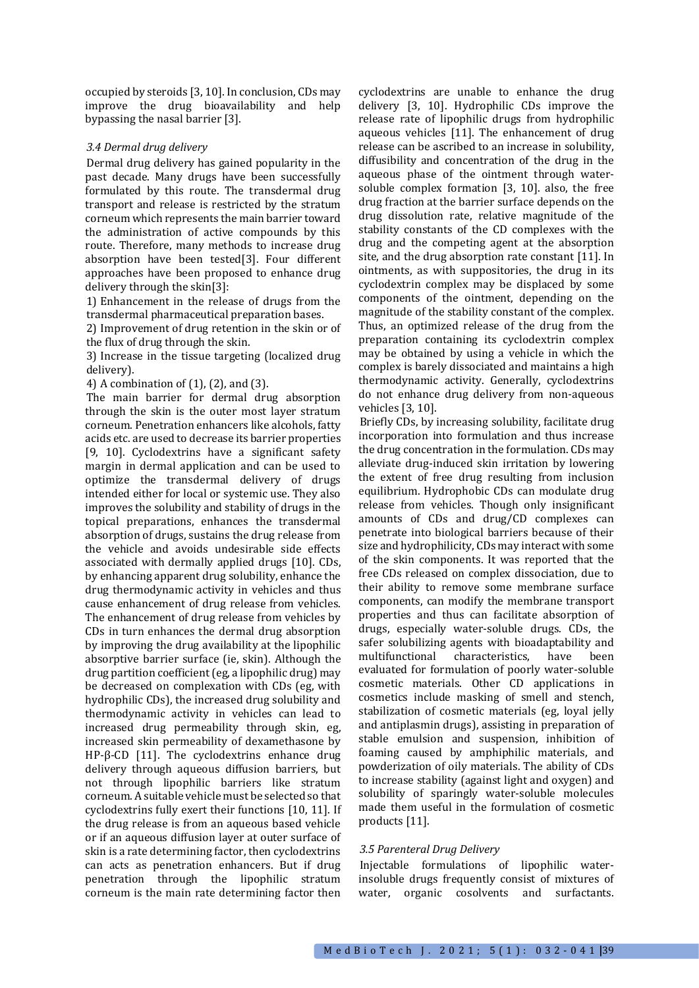occupied by steroids [3, 10]. In conclusion, CDs may improve the drug bioavailability and help bypassing the nasal barrier [3].

#### *3.4 Dermal drug delivery*

Dermal drug delivery has gained popularity in the past decade. Many drugs have been successfully formulated by this route. The transdermal drug transport and release is restricted by the stratum corneum which represents the main barrier toward the administration of active compounds by this route. Therefore, many methods to increase drug absorption have been tested[3]. Four different approaches have been proposed to enhance drug delivery through the skin[3]:

1) Enhancement in the release of drugs from the transdermal pharmaceutical preparation bases.

2) Improvement of drug retention in the skin or of the flux of drug through the skin.

3) Increase in the tissue targeting (localized drug delivery).

4) A combination of (1), (2), and (3).

The main barrier for dermal drug absorption through the skin is the outer most layer stratum corneum. Penetration enhancers like alcohols, fatty acids etc. are used to decrease its barrier properties [9, 10]. Cyclodextrins have a significant safety margin in dermal application and can be used to optimize the transdermal delivery of drugs intended either for local or systemic use. They also improves the solubility and stability of drugs in the topical preparations, enhances the transdermal absorption of drugs, sustains the drug release from the vehicle and avoids undesirable side effects associated with dermally applied drugs [10]. CDs, by enhancing apparent drug solubility, enhance the drug thermodynamic activity in vehicles and thus cause enhancement of drug release from vehicles. The enhancement of drug release from vehicles by CDs in turn enhances the dermal drug absorption by improving the drug availability at the lipophilic absorptive barrier surface (ie, skin). Although the drug partition coefficient (eg, a lipophilic drug) may be decreased on complexation with CDs (eg, with hydrophilic CDs), the increased drug solubility and thermodynamic activity in vehicles can lead to increased drug permeability through skin, eg, increased skin permeability of dexamethasone by HP-β-CD [11]. The cyclodextrins enhance drug delivery through aqueous diffusion barriers, but not through lipophilic barriers like stratum corneum. A suitable vehicle must be selected so that cyclodextrins fully exert their functions [10, 11]. If the drug release is from an aqueous based vehicle or if an aqueous diffusion layer at outer surface of skin is a rate determining factor, then cyclodextrins can acts as penetration enhancers. But if drug penetration through the lipophilic stratum corneum is the main rate determining factor then

cyclodextrins are unable to enhance the drug delivery [3, 10]. Hydrophilic CDs improve the release rate of lipophilic drugs from hydrophilic aqueous vehicles [11]. The enhancement of drug release can be ascribed to an increase in solubility, diffusibility and concentration of the drug in the aqueous phase of the ointment through watersoluble complex formation [3, 10]. also, the free drug fraction at the barrier surface depends on the drug dissolution rate, relative magnitude of the stability constants of the CD complexes with the drug and the competing agent at the absorption site, and the drug absorption rate constant [11]. In ointments, as with suppositories, the drug in its cyclodextrin complex may be displaced by some components of the ointment, depending on the magnitude of the stability constant of the complex. Thus, an optimized release of the drug from the preparation containing its cyclodextrin complex may be obtained by using a vehicle in which the complex is barely dissociated and maintains a high thermodynamic activity. Generally, cyclodextrins do not enhance drug delivery from non-aqueous vehicles [3, 10].

Briefly CDs, by increasing solubility, facilitate drug incorporation into formulation and thus increase the drug concentration in the formulation. CDs may alleviate drug-induced skin irritation by lowering the extent of free drug resulting from inclusion equilibrium. Hydrophobic CDs can modulate drug release from vehicles. Though only insignificant amounts of CDs and drug/CD complexes can penetrate into biological barriers because of their size and hydrophilicity, CDs may interact with some of the skin components. It was reported that the free CDs released on complex dissociation, due to their ability to remove some membrane surface components, can modify the membrane transport properties and thus can facilitate absorption of drugs, especially water-soluble drugs. CDs, the safer solubilizing agents with bioadaptability and multifunctional characteristics, have been evaluated for formulation of poorly water-soluble cosmetic materials. Other CD applications in cosmetics include masking of smell and stench, stabilization of cosmetic materials (eg, loyal jelly and antiplasmin drugs), assisting in preparation of stable emulsion and suspension, inhibition of foaming caused by amphiphilic materials, and powderization of oily materials. The ability of CDs to increase stability (against light and oxygen) and solubility of sparingly water-soluble molecules made them useful in the formulation of cosmetic products [11].

#### *3.5 Parenteral Drug Delivery*

Injectable formulations of lipophilic waterinsoluble drugs frequently consist of mixtures of water, organic cosolvents and surfactants.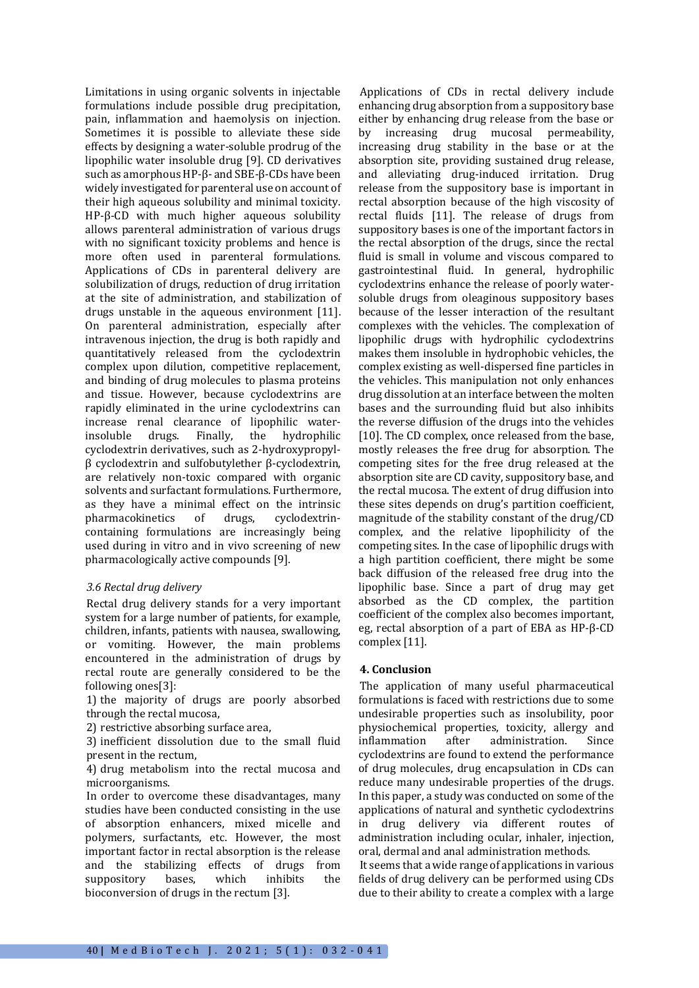Limitations in using organic solvents in injectable formulations include possible drug precipitation, pain, inflammation and haemolysis on injection. Sometimes it is possible to alleviate these side effects by designing a water-soluble prodrug of the lipophilic water insoluble drug [9]. CD derivatives such as amorphous HP-β- and SBE-β-CDs have been widely investigated for parenteral use on account of their high aqueous solubility and minimal toxicity. HP-β-CD with much higher aqueous solubility allows parenteral administration of various drugs with no significant toxicity problems and hence is more often used in parenteral formulations. Applications of CDs in parenteral delivery are solubilization of drugs, reduction of drug irritation at the site of administration, and stabilization of drugs unstable in the aqueous environment [11]. On parenteral administration, especially after intravenous injection, the drug is both rapidly and quantitatively released from the cyclodextrin complex upon dilution, competitive replacement, and binding of drug molecules to plasma proteins and tissue. However, because cyclodextrins are rapidly eliminated in the urine cyclodextrins can increase renal clearance of lipophilic waterinsoluble drugs. Finally, the hydrophilic cyclodextrin derivatives, such as 2-hydroxypropylβ cyclodextrin and sulfobutylether β-cyclodextrin, are relatively non-toxic compared with organic solvents and surfactant formulations. Furthermore, as they have a minimal effect on the intrinsic pharmacokinetics of drugs, cyclodextrincontaining formulations are increasingly being used during in vitro and in vivo screening of new pharmacologically active compounds [9].

# *3.6 Rectal drug delivery*

Rectal drug delivery stands for a very important system for a large number of patients, for example, children, infants, patients with nausea, swallowing, or vomiting. However, the main problems encountered in the administration of drugs by rectal route are generally considered to be the following ones[3]:

1) the majority of drugs are poorly absorbed through the rectal mucosa,

2) restrictive absorbing surface area,

3) inefficient dissolution due to the small fluid present in the rectum,

4) drug metabolism into the rectal mucosa and microorganisms.

In order to overcome these disadvantages, many studies have been conducted consisting in the use of absorption enhancers, mixed micelle and polymers, surfactants, etc. However, the most important factor in rectal absorption is the release and the stabilizing effects of drugs from suppository bases, which inhibits the bioconversion of drugs in the rectum [3].

Applications of CDs in rectal delivery include enhancing drug absorption from a suppository base either by enhancing drug release from the base or by increasing drug mucosal permeability, increasing drug stability in the base or at the absorption site, providing sustained drug release, and alleviating drug-induced irritation. Drug release from the suppository base is important in rectal absorption because of the high viscosity of rectal fluids [11]. The release of drugs from suppository bases is one of the important factors in the rectal absorption of the drugs, since the rectal fluid is small in volume and viscous compared to gastrointestinal fluid. In general, hydrophilic cyclodextrins enhance the release of poorly watersoluble drugs from oleaginous suppository bases because of the lesser interaction of the resultant complexes with the vehicles. The complexation of lipophilic drugs with hydrophilic cyclodextrins makes them insoluble in hydrophobic vehicles, the complex existing as well-dispersed fine particles in the vehicles. This manipulation not only enhances drug dissolution at an interface between the molten bases and the surrounding fluid but also inhibits the reverse diffusion of the drugs into the vehicles [10]. The CD complex, once released from the base. mostly releases the free drug for absorption. The competing sites for the free drug released at the absorption site are CD cavity, suppository base, and the rectal mucosa. The extent of drug diffusion into these sites depends on drug's partition coefficient, magnitude of the stability constant of the drug/CD complex, and the relative lipophilicity of the competing sites. In the case of lipophilic drugs with a high partition coefficient, there might be some back diffusion of the released free drug into the lipophilic base. Since a part of drug may get absorbed as the CD complex, the partition coefficient of the complex also becomes important, eg, rectal absorption of a part of EBA as HP-β-CD complex [11].

# **4. Conclusion**

The application of many useful pharmaceutical formulations is faced with restrictions due to some undesirable properties such as insolubility, poor physiochemical properties, toxicity, allergy and inflammation after administration. Since cyclodextrins are found to extend the performance of drug molecules, drug encapsulation in CDs can reduce many undesirable properties of the drugs. In this paper, a study was conducted on some of the applications of natural and synthetic cyclodextrins in drug delivery via different routes of administration including ocular, inhaler, injection, oral, dermal and anal administration methods.

It seems that a wide range of applications in various fields of drug delivery can be performed using CDs due to their ability to create a complex with a large